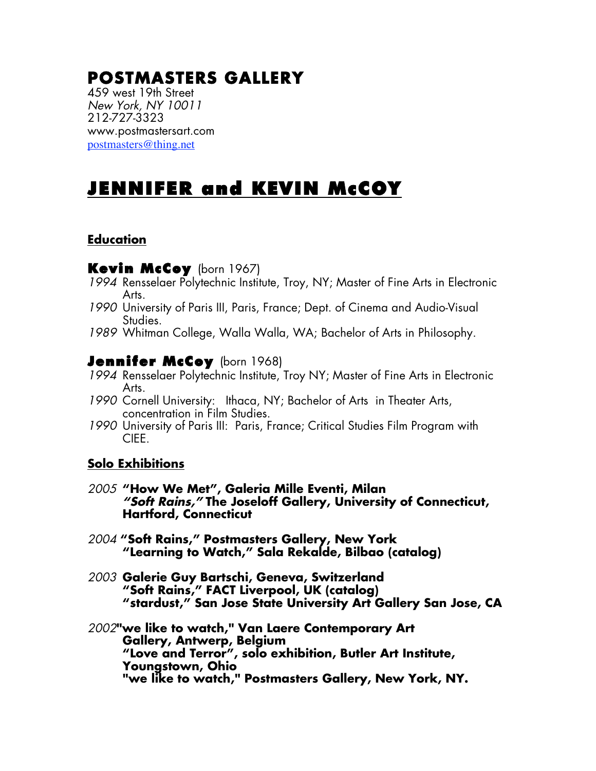# **POSTMASTERS GALLERY**

459 west 19th Street *New York, NY 10011* 212-727-3323 www.postmastersart.com postmasters@thing.net

# JENNIFER and KEVIN McCOY

## **Education**

#### Kevin McCoy (born 1967)

- *1994* Rensselaer Polytechnic Institute, Troy, NY; Master of Fine Arts in Electronic Arts.
- *1990* University of Paris III, Paris, France; Dept. of Cinema and Audio-Visual Studies.
- *1989* Whitman College, Walla Walla, WA; Bachelor of Arts in Philosophy.

## **Jennifer McCoy** (born 1968)

- *1994* Rensselaer Polytechnic Institute, Troy NY; Master of Fine Arts in Electronic Arts.
- *1990* Cornell University: Ithaca, NY; Bachelor of Arts in Theater Arts, concentration in Film Studies.
- *1990* University of Paris III: Paris, France; Critical Studies Film Program with CIEE.

## **Solo Exhibitions**

- *2005* **"How We Met", Galeria Mille Eventi, Milan** *"Soft Rains,"* **The Joseloff Gallery, University of Connecticut, Hartford, Connecticut**
- *2004* **"Soft Rains," Postmasters Gallery, New York "Learning to Watch," Sala Rekalde, Bilbao (catalog)**
- *2003* **Galerie Guy Bartschi, Geneva, Switzerland "Soft Rains," FACT Liverpool, UK (catalog) "stardust," San Jose State University Art Gallery San Jose, CA**
- *2002***"we like to watch," Van Laere Contemporary Art Gallery, Antwerp, Belgium "Love and Terror", solo exhibition, Butler Art Institute, Youngstown, Ohio "we like to watch," Postmasters Gallery, New York, NY.**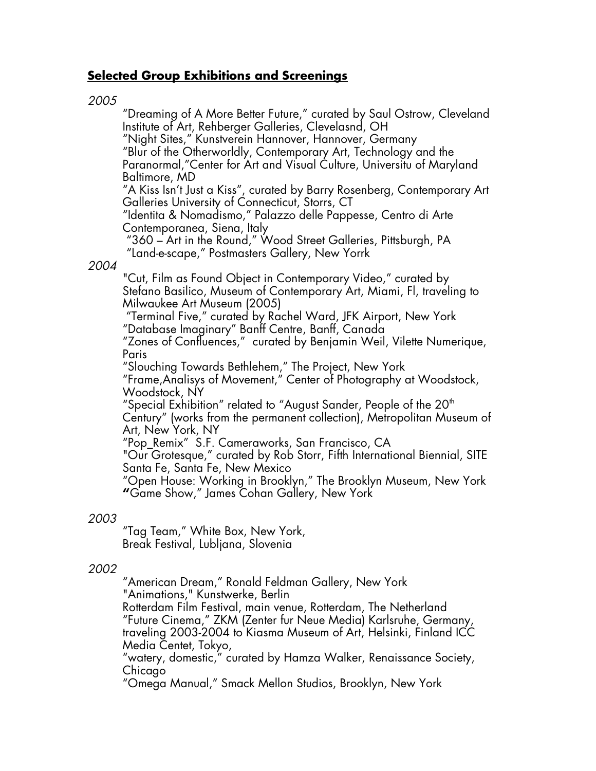## **Selected Group Exhibitions and Screenings**

#### *2005*

"Dreaming of A More Better Future," curated by Saul Ostrow, Cleveland Institute of Art, Rehberger Galleries, Clevelasnd, OH "Night Sites," Kunstverein Hannover, Hannover, Germany "Blur of the Otherworldly, Contemporary Art, Technology and the Paranormal,"Center for Art and Visual Culture, Universitu of Maryland Baltimore, MD "A Kiss Isn't Just a Kiss", curated by Barry Rosenberg, Contemporary Art Galleries University of Connecticut, Storrs, CT "Identita & Nomadismo," Palazzo delle Pappesse, Centro di Arte Contemporanea, Siena, Italy "360 – Art in the Round," Wood Street Galleries, Pittsburgh, PA "Land-e-scape," Postmasters Gallery, New Yorrk *2004* "Cut, Film as Found Object in Contemporary Video," curated by Stefano Basilico, Museum of Contemporary Art, Miami, Fl, traveling to Milwaukee Art Museum (2005) "Terminal Five," curated by Rachel Ward, JFK Airport, New York "Database Imaginary" Banff Centre, Banff, Canada "Zones of Confluences," curated by Benjamin Weil, Vilette Numerique, Paris "Slouching Towards Bethlehem," The Project, New York "Frame,Analisys of Movement," Center of Photography at Woodstock, Woodstock, NY "Special Exhibition" related to "August Sander, People of the  $20<sup>th</sup>$ Century" (works from the permanent collection), Metropolitan Museum of Art, New York, NY "Pop\_Remix" S.F. Cameraworks, San Francisco, CA "Our Grotesque," curated by Rob Storr, Fifth International Biennial, SITE Santa Fe, Santa Fe, New Mexico "Open House: Working in Brooklyn," The Brooklyn Museum, New York **"**Game Show," James Cohan Gallery, New York

#### *2003*

"Tag Team," White Box, New York, Break Festival, Lubljana, Slovenia

#### *2002*

"American Dream," Ronald Feldman Gallery, New York "Animations," Kunstwerke, Berlin Rotterdam Film Festival, main venue*,* Rotterdam, The Netherland "Future Cinema," ZKM (Zenter fur Neue Media) Karlsruhe, Germany, traveling 2003-2004 to Kiasma Museum of Art, Helsinki, Finland ICC Media Centet, Tokyo,

"watery, domestic," curated by Hamza Walker, Renaissance Society, Chicago

"Omega Manual," Smack Mellon Studios, Brooklyn, New York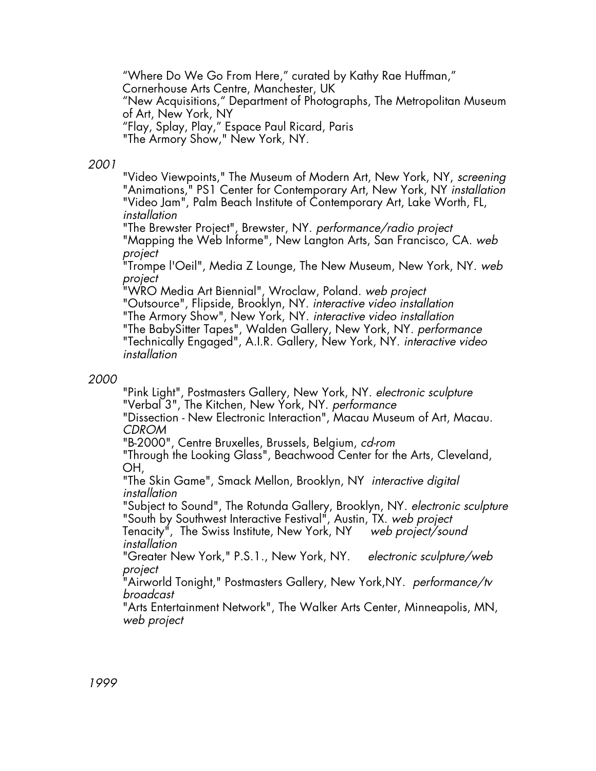"Where Do We Go From Here," curated by Kathy Rae Huffman," Cornerhouse Arts Centre, Manchester, UK "New Acquisitions," Department of Photographs, The Metropolitan Museum of Art, New York, NY "Flay, Splay, Play," Espace Paul Ricard, Paris "The Armory Show," New York, NY.

#### *2001*

"Video Viewpoints," The Museum of Modern Art, New York, NY, *screening* "Animations," PS1 Center for Contemporary Art, New York, NY *installation* "Video Jam", Palm Beach Institute of Contemporary Art, Lake Worth, FL, *installation*

"The Brewster Project", Brewster, NY. *performance/radio project*

"Mapping the Web Informe", New Langton Arts, San Francisco, CA. *web project*

"Trompe l'Oeil", Media Z Lounge, The New Museum, New York, NY. *web project*

"WRO Media Art Biennial", Wroclaw, Poland. *web project* "Outsource", Flipside, Brooklyn, NY. *interactive video installation*

"The Armory Show", New York, NY. *interactive video installation* "The BabySitter Tapes", Walden Gallery, New York, NY. *performance*

"Technically Engaged", A.I.R. Gallery, New York, NY. *interactive video installation*

#### *2000*

"Pink Light", Postmasters Gallery, New York, NY. *electronic sculpture* "Verbal 3", The Kitchen, New York, NY. *performance* "Dissection - New Electronic Interaction", Macau Museum of Art, Macau.

*CDROM*

"B-2000", Centre Bruxelles, Brussels, Belgium, *cd-rom*

"Through the Looking Glass", Beachwood Center for the Arts, Cleveland, OH,

"The Skin Game", Smack Mellon, Brooklyn, NY *interactive digital installation*

"Subject to Sound", The Rotunda Gallery, Brooklyn, NY. *electronic sculpture* "South by Southwest Interactive Festival", Austin, TX. *web project*

Tenacity<sup>"</sup>, The Swiss Institute, New York, NY *installation*

"Greater New York," P.S.1., New York, NY. *electronic sculpture/web project*

"Airworld Tonight," Postmasters Gallery, New York,NY. *performance/tv broadcast*

"Arts Entertainment Network", The Walker Arts Center, Minneapolis, MN, *web project*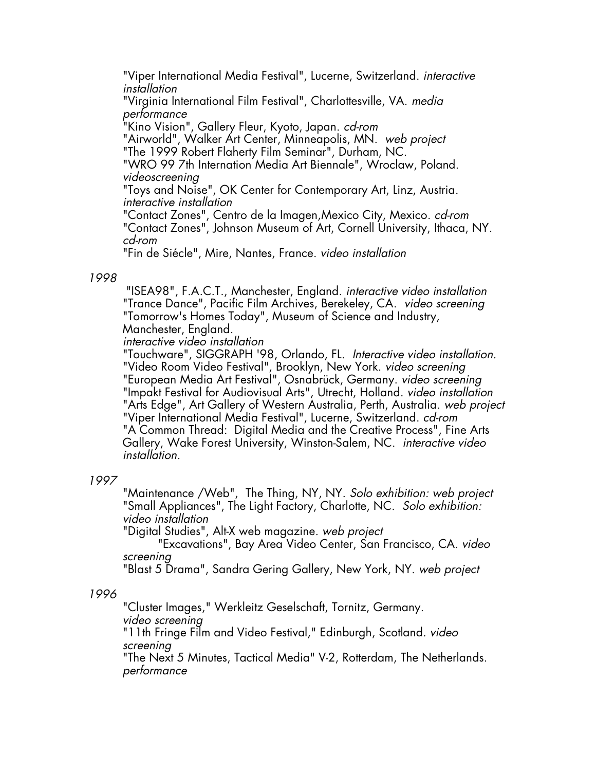"Viper International Media Festival", Lucerne, Switzerland. *interactive installation*

"Virginia International Film Festival", Charlottesville, VA. *media performance*

"Kino Vision", Gallery Fleur, Kyoto, Japan. *cd-rom*

"Airworld", Walker Art Center, Minneapolis, MN. *web project* "The 1999 Robert Flaherty Film Seminar", Durham, NC.

"WRO 99 7th Internation Media Art Biennale", Wroclaw, Poland. *videoscreening*

"Toys and Noise", OK Center for Contemporary Art, Linz, Austria. *interactive installation*

"Contact Zones", Centro de la Imagen,Mexico City, Mexico. *cd-rom* "Contact Zones", Johnson Museum of Art, Cornell University, Ithaca, NY. *cd-rom*

"Fin de Siécle", Mire, Nantes, France. *video installation*

#### *1998*

"ISEA98", F.A.C.T., Manchester, England. *interactive video installation* "Trance Dance", Pacific Film Archives, Berekeley, CA. *video screening* "Tomorrow's Homes Today", Museum of Science and Industry, Manchester, England.

*interactive video installation*

"Touchware", SIGGRAPH '98, Orlando, FL. *Interactive video installation.* "Video Room Video Festival", Brooklyn, New York. *video screening* "European Media Art Festival", Osnabrück, Germany. *video screening* "Impakt Festival for Audiovisual Arts", Utrecht, Holland. *video installation* "Arts Edge", Art Gallery of Western Australia, Perth, Australia. *web project* "Viper International Media Festival", Lucerne, Switzerland. *cd-rom* "A Common Thread: Digital Media and the Creative Process", Fine Arts Gallery, Wake Forest University, Winston-Salem, NC. *interactive video installation.*

#### *1997*

"Maintenance /Web", The Thing, NY, NY. *Solo exhibition: web project* "Small Appliances", The Light Factory, Charlotte, NC. *Solo exhibition: video installation*

"Digital Studies", Alt-X web magazine. *web project*

"Excavations", Bay Area Video Center, San Francisco, CA. *video screening*

"Blast 5 Drama", Sandra Gering Gallery, New York, NY. *web project*

#### *1996*

"Cluster Images," Werkleitz Geselschaft, Tornitz, Germany. *video screening* "11th Fringe Film and Video Festival," Edinburgh, Scotland. *video screening*

"The Next 5 Minutes, Tactical Media" V-2, Rotterdam, The Netherlands. *performance*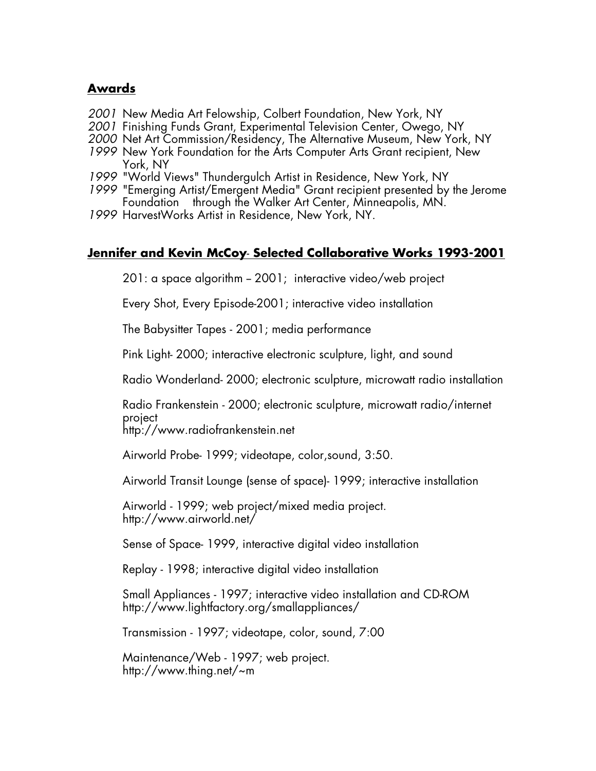#### **Awards**

- *2001* New Media Art Felowship, Colbert Foundation, New York, NY
- *2001* Finishing Funds Grant, Experimental Television Center, Owego, NY
- *2000* Net Art Commission/Residency, The Alternative Museum, New York, NY
- *1999* New York Foundation for the Arts Computer Arts Grant recipient, New York, NY
- *1999* "World Views" Thundergulch Artist in Residence, New York, NY
- 1999 "Emerging Artist/Emergent Media" Grant recipient presented by the Jerome Foundation through the Walker Art Center, Minneapolis, MN.
- *1999* HarvestWorks Artist in Residence, New York, NY.

## **Jennifer and Kevin McCoy**- **Selected Collaborative Works 1993-2001**

 $201: a$  space algorithm  $-2001$ ; interactive video/web project

Every Shot, Every Episode-2001; interactive video installation

The Babysitter Tapes - 2001; media performance

Pink Light- 2000; interactive electronic sculpture, light, and sound

Radio Wonderland- 2000; electronic sculpture, microwatt radio installation

Radio Frankenstein - 2000; electronic sculpture, microwatt radio/internet project

http://www.radiofrankenstein.net

Airworld Probe- 1999; videotape, color,sound, 3:50.

Airworld Transit Lounge (sense of space)- 1999; interactive installation

Airworld - 1999; web project/mixed media project. http://www.airworld.net/

Sense of Space- 1999, interactive digital video installation

Replay - 1998; interactive digital video installation

Small Appliances - 1997; interactive video installation and CD-ROM http://www.lightfactory.org/smallappliances/

Transmission - 1997; videotape, color, sound, 7:00

Maintenance/Web - 1997; web project. http://www.thing.net/~m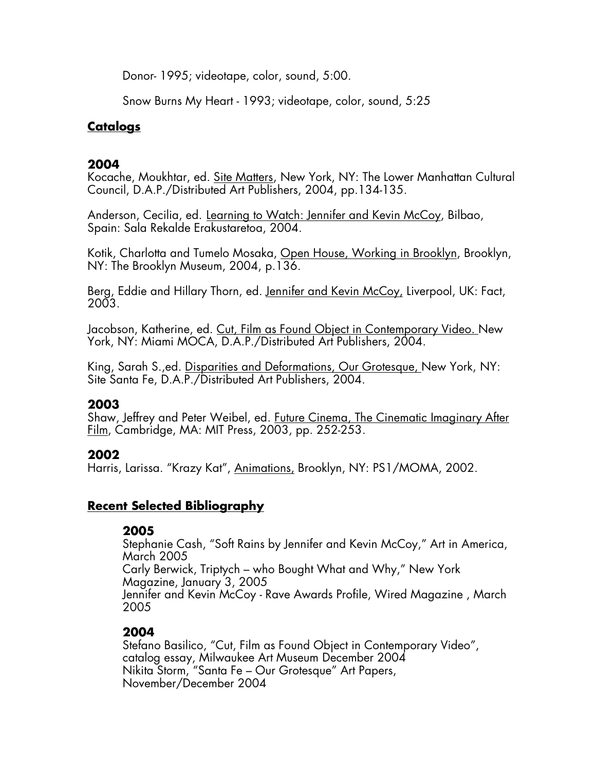Donor- 1995; videotape, color, sound, 5:00.

Snow Burns My Heart - 1993; videotape, color, sound, 5:25

## **Catalogs**

## **2004**

Kocache, Moukhtar, ed. Site Matters, New York, NY: The Lower Manhattan Cultural Council, D.A.P./Distributed Art Publishers, 2004, pp.134-135.

Anderson, Cecilia, ed. Learning to Watch: Jennifer and Kevin McCoy, Bilbao, Spain: Sala Rekalde Erakustaretoa, 2004.

Kotik, Charlotta and Tumelo Mosaka, Open House, Working in Brooklyn, Brooklyn, NY: The Brooklyn Museum, 2004, p.136.

Berg, Eddie and Hillary Thorn, ed. Jennifer and Kevin McCoy, Liverpool, UK: Fact, 2003.

Jacobson, Katherine, ed. Cut, Film as Found Object in Contemporary Video. New York, NY: Miami MOCA, D.A.P./Distributed Art Publishers, 2004.

King, Sarah S.,ed. Disparities and Deformations, Our Grotesque, New York, NY: Site Santa Fe, D.A.P./Distributed Art Publishers, 2004.

## **2003**

Shaw, Jeffrey and Peter Weibel, ed. Future Cinema, The Cinematic Imaginary After Film, Cambridge, MA: MIT Press, 2003, pp. 252-253.

## **2002**

Harris, Larissa. "Krazy Kat", <u>Animations,</u> Brooklyn, NY: PS1/MOMA, 2002.

## **Recent Selected Bibliography**

## **2005**

Stephanie Cash, "Soft Rains by Jennifer and Kevin McCoy," Art in America, March 2005 Carly Berwick, Triptych – who Bought What and Why," New York Magazine, January 3, 2005 Jennifer and Kevin McCoy - Rave Awards Profile, Wired Magazine , March 2005

# **2004**

Stefano Basilico, "Cut, Film as Found Object in Contemporary Video", catalog essay, Milwaukee Art Museum December 2004 Nikita Storm, "Santa Fe – Our Grotesque" Art Papers, November/December 2004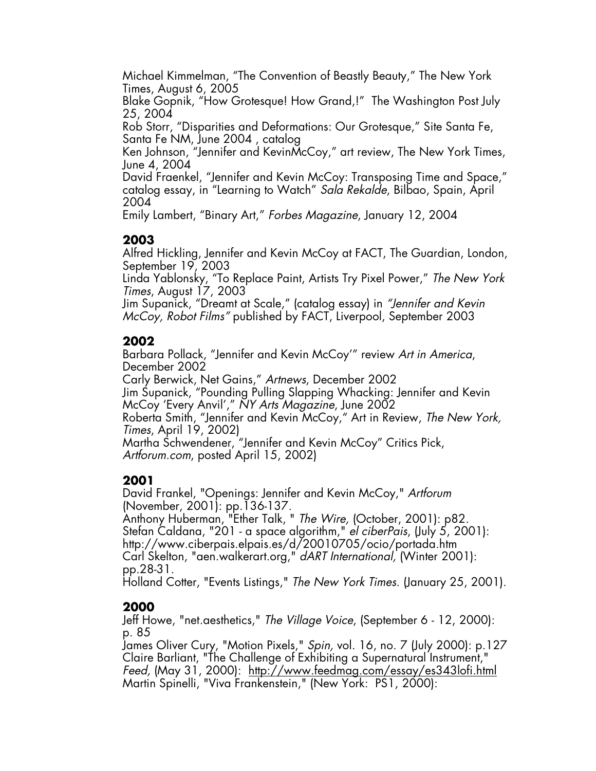Michael Kimmelman, "The Convention of Beastly Beauty," The New York Times, August 6, 2005

Blake Gopnik, "How Grotesque! How Grand,!" The Washington Post July 25, 2004

Rob Storr, "Disparities and Deformations: Our Grotesque," Site Santa Fe, Santa Fe NM, June 2004 , catalog

Ken Johnson, "Jennifer and KevinMcCoy," art review, The New York Times, June 4, 2004

David Fraenkel, "Jennifer and Kevin McCoy: Transposing Time and Space," catalog essay, in "Learning to Watch" *Sala Rekalde*, Bilbao, Spain, April 2004

Emily Lambert, "Binary Art," *Forbes Magazine*, January 12, 2004

# **2003**

Alfred Hickling, Jennifer and Kevin McCoy at FACT, The Guardian, London, September 19, 2003

Linda Yablonsky, "To Replace Paint, Artists Try Pixel Power," *The New York Times*, August 17, 2003

Jim Supanick, "Dreamt at Scale," (catalog essay) in *"Jennifer and Kevin McCoy, Robot Films"* published by FACT, Liverpool, September 2003

# **2002**

Barbara Pollack, "Jennifer and Kevin McCoy'" review *Art in America*, December 2002

Carly Berwick, Net Gains," *Artnews*, December 2002 Jim Supanick, "Pounding Pulling Slapping Whacking: Jennifer and Kevin McCoy 'Every Anvil'," *NY Arts Magazine*, June 2002 Roberta Smith, "Jennifer and Kevin McCoy," Art in Review, *The New York, Times*, April 19, 2002)

Martha Schwendener, "Jennifer and Kevin McCoy" Critics Pick, *Artforum.com*, posted April 15, 2002)

# **2001**

David Frankel, "Openings: Jennifer and Kevin McCoy," *Artforum* (November, 2001): pp.136-137.

Anthony Huberman, "Ether Talk, " *The Wire,* (October, 2001): p82. Stefan Caldana, "201 - a space algorithm," *el ciberPais*, (July 5, 2001): http://www.ciberpais.elpais.es/d/20010705/ocio/portada.htm Carl Skelton, "aen.walkerart.org," *dART International,* (Winter 2001): pp.28-31.

Holland Cotter, "Events Listings," *The New York Times.* (January 25, 2001).

# **2000**

Jeff Howe, "net.aesthetics," *The Village Voice*, (September 6 - 12, 2000): p. 85

James Oliver Cury, "Motion Pixels," *Spin,* vol. 16, no. 7 (July 2000): p.127 Claire Barliant, "The Challenge of Exhibiting a Supernatural Instrument," *Feed,* (May 31, 2000): http://www.feedmag.com/essay/es343lofi.html Martin Spinelli, "Viva Frankenstein," (New York: PS1, 2000):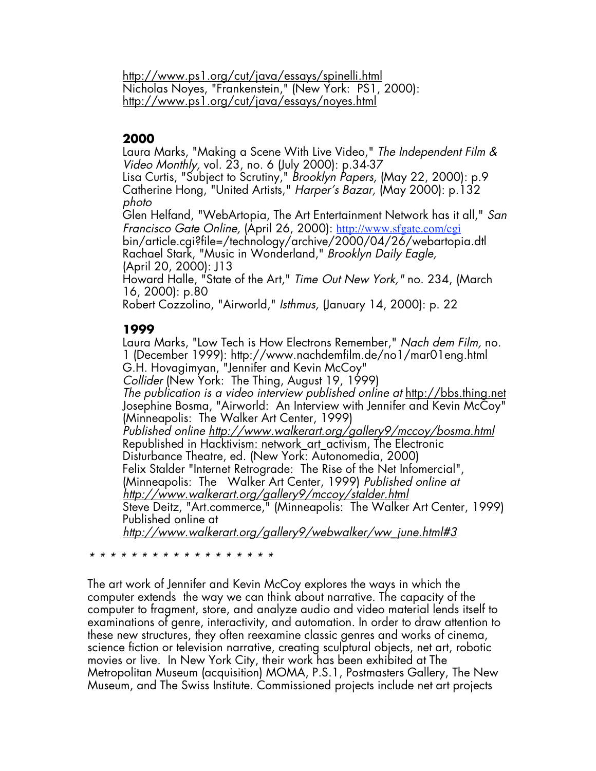http://www.ps1.org/cut/java/essays/spinelli.html Nicholas Noyes, "Frankenstein," (New York: PS1, 2000): http://www.ps1.org/cut/java/essays/noyes.html

#### **2000**

Laura Marks, "Making a Scene With Live Video," *The Independent Film & Video Monthly,* vol. 23, no. 6 (July 2000): p.34-37

Lisa Curtis, "Subject to Scrutiny," *Brooklyn Papers,* (May 22, 2000): p.9 Catherine Hong, "United Artists," *Harper's Bazar,* (May 2000): p.132 *photo*

Glen Helfand, "WebArtopia, The Art Entertainment Network has it all," *San Francisco Gate Online,* (April 26, 2000): http://www.sfgate.com/cgi bin/article.cgi?file=/technology/archive/2000/04/26/webartopia.dtl Rachael Stark, "Music in Wonderland," *Brooklyn Daily Eagle,* (April 20, 2000): J13

Howard Halle, "State of the Art," *Time Out New York,"* no. 234, (March 16, 2000): p.80

Robert Cozzolino, "Airworld," *Isthmus,* (January 14, 2000): p. 22

## **1999**

Laura Marks, "Low Tech is How Electrons Remember," *Nach dem Film,* no. 1 (December 1999): http://www.nachdemfilm.de/no1/mar01eng.html G.H. Hovagimyan, "Jennifer and Kevin McCoy" *Collider* (New York: The Thing, August 19, 1999) *The publication is a video interview published online at* http://bbs.thing.net Josephine Bosma, "Airworld: An Interview with Jennifer and Kevin McCoy" (Minneapolis: The Walker Art Center, 1999) *Published online http://www.walkerart.org/gallery9/mccoy/bosma.html* Republished in Hacktivism: network art activism, The Electronic Disturbance Theatre, ed. (New York: Autonomedia, 2000) Felix Stalder "Internet Retrograde: The Rise of the Net Infomercial", (Minneapolis: The Walker Art Center, 1999) *Published online at http://www.walkerart.org/gallery9/mccoy/stalder.html* Steve Deitz, "Art.commerce," (Minneapolis: The Walker Art Center, 1999) Published online at *http://www.walkerart.org/gallery9/webwalker/ww\_june.html#3*

*\* \* \* \* \* \* \* \* \* \* \* \* \* \* \* \* \* \**

The art work of Jennifer and Kevin McCoy explores the ways in which the computer extends the way we can think about narrative. The capacity of the computer to fragment, store, and analyze audio and video material lends itself to examinations of genre, interactivity, and automation. In order to draw attention to these new structures, they often reexamine classic genres and works of cinema, science fiction or television narrative, creating sculptural objects, net art, robotic movies or live. In New York City, their work has been exhibited at The Metropolitan Museum (acquisition) MOMA, P.S.1, Postmasters Gallery, The New Museum, and The Swiss Institute. Commissioned projects include net art projects